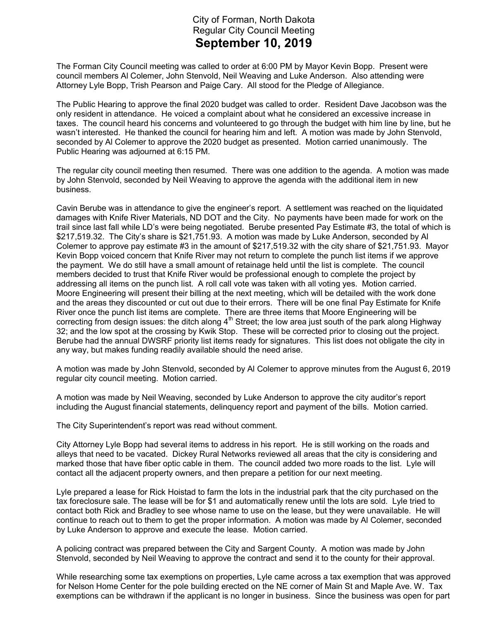## City of Forman, North Dakota Regular City Council Meeting September 10, 2019

The Forman City Council meeting was called to order at 6:00 PM by Mayor Kevin Bopp. Present were council members Al Colemer, John Stenvold, Neil Weaving and Luke Anderson. Also attending were Attorney Lyle Bopp, Trish Pearson and Paige Cary. All stood for the Pledge of Allegiance.

The Public Hearing to approve the final 2020 budget was called to order. Resident Dave Jacobson was the only resident in attendance. He voiced a complaint about what he considered an excessive increase in taxes. The council heard his concerns and volunteered to go through the budget with him line by line, but he wasn't interested. He thanked the council for hearing him and left. A motion was made by John Stenvold, seconded by Al Colemer to approve the 2020 budget as presented. Motion carried unanimously. The Public Hearing was adjourned at 6:15 PM.

The regular city council meeting then resumed. There was one addition to the agenda. A motion was made by John Stenvold, seconded by Neil Weaving to approve the agenda with the additional item in new business.

Cavin Berube was in attendance to give the engineer's report. A settlement was reached on the liquidated damages with Knife River Materials, ND DOT and the City. No payments have been made for work on the trail since last fall while LD's were being negotiated. Berube presented Pay Estimate #3, the total of which is \$217,519.32. The City's share is \$21,751.93. A motion was made by Luke Anderson, seconded by Al Colemer to approve pay estimate #3 in the amount of \$217,519.32 with the city share of \$21,751.93. Mayor Kevin Bopp voiced concern that Knife River may not return to complete the punch list items if we approve the payment. We do still have a small amount of retainage held until the list is complete. The council members decided to trust that Knife River would be professional enough to complete the project by addressing all items on the punch list. A roll call vote was taken with all voting yes. Motion carried. Moore Engineering will present their billing at the next meeting, which will be detailed with the work done and the areas they discounted or cut out due to their errors. There will be one final Pay Estimate for Knife River once the punch list items are complete. There are three items that Moore Engineering will be correcting from design issues: the ditch along  $4<sup>th</sup>$  Street; the low area just south of the park along Highway 32; and the low spot at the crossing by Kwik Stop. These will be corrected prior to closing out the project. Berube had the annual DWSRF priority list items ready for signatures. This list does not obligate the city in any way, but makes funding readily available should the need arise.

A motion was made by John Stenvold, seconded by Al Colemer to approve minutes from the August 6, 2019 regular city council meeting. Motion carried.

A motion was made by Neil Weaving, seconded by Luke Anderson to approve the city auditor's report including the August financial statements, delinquency report and payment of the bills. Motion carried.

The City Superintendent's report was read without comment.

City Attorney Lyle Bopp had several items to address in his report. He is still working on the roads and alleys that need to be vacated. Dickey Rural Networks reviewed all areas that the city is considering and marked those that have fiber optic cable in them. The council added two more roads to the list. Lyle will contact all the adjacent property owners, and then prepare a petition for our next meeting.

Lyle prepared a lease for Rick Hoistad to farm the lots in the industrial park that the city purchased on the tax foreclosure sale. The lease will be for \$1 and automatically renew until the lots are sold. Lyle tried to contact both Rick and Bradley to see whose name to use on the lease, but they were unavailable. He will continue to reach out to them to get the proper information. A motion was made by Al Colemer, seconded by Luke Anderson to approve and execute the lease. Motion carried.

A policing contract was prepared between the City and Sargent County. A motion was made by John Stenvold, seconded by Neil Weaving to approve the contract and send it to the county for their approval.

While researching some tax exemptions on properties, Lyle came across a tax exemption that was approved for Nelson Home Center for the pole building erected on the NE corner of Main St and Maple Ave. W. Tax exemptions can be withdrawn if the applicant is no longer in business. Since the business was open for part